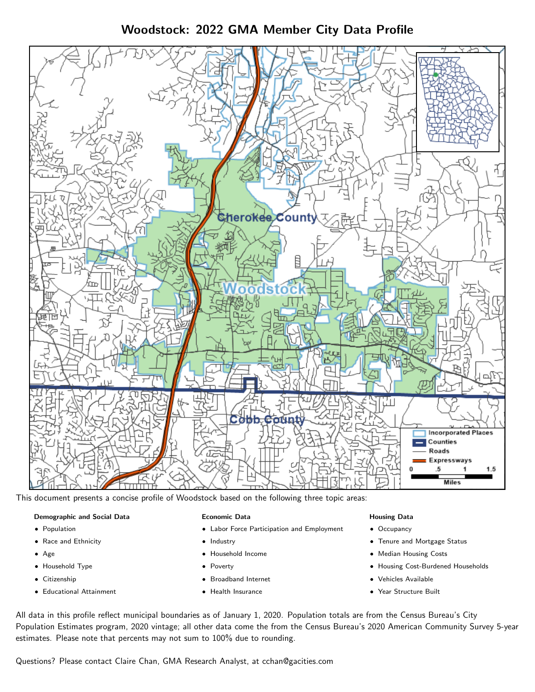# Woodstock: 2022 GMA Member City Data Profile



This document presents a concise profile of Woodstock based on the following three topic areas:

# Demographic and Social Data

- **•** Population
- Race and Ethnicity
- Age
- Household Type
- **Citizenship**
- Educational Attainment

#### Economic Data

- Labor Force Participation and Employment
- Industry
- Household Income
- Poverty
- Broadband Internet
- Health Insurance

#### Housing Data

- Occupancy
- Tenure and Mortgage Status
- Median Housing Costs
- Housing Cost-Burdened Households
- Vehicles Available
- Year Structure Built

All data in this profile reflect municipal boundaries as of January 1, 2020. Population totals are from the Census Bureau's City Population Estimates program, 2020 vintage; all other data come the from the Census Bureau's 2020 American Community Survey 5-year estimates. Please note that percents may not sum to 100% due to rounding.

Questions? Please contact Claire Chan, GMA Research Analyst, at [cchan@gacities.com.](mailto:cchan@gacities.com)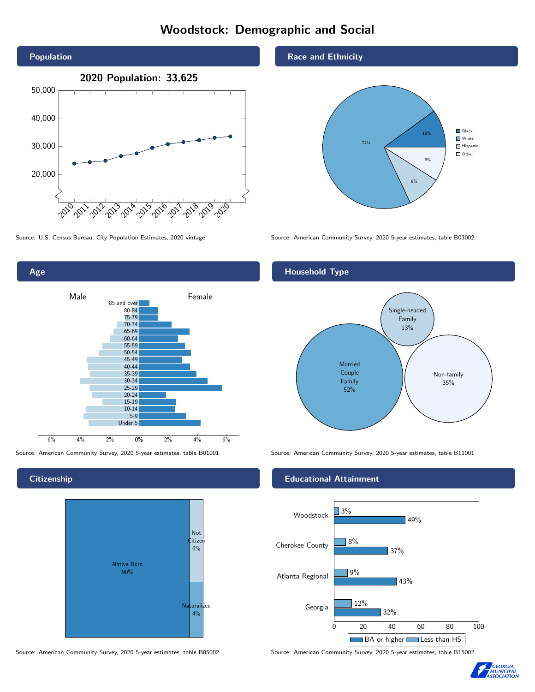# Woodstock: Demographic and Social





## **Citizenship**



Source: American Community Survey, 2020 5-year estimates, table B05002 Source: American Community Survey, 2020 5-year estimates, table B15002

#### Race and Ethnicity



Source: U.S. Census Bureau, City Population Estimates, 2020 vintage Source: American Community Survey, 2020 5-year estimates, table B03002

## Household Type



Source: American Community Survey, 2020 5-year estimates, table B01001 Source: American Community Survey, 2020 5-year estimates, table B11001

#### Educational Attainment



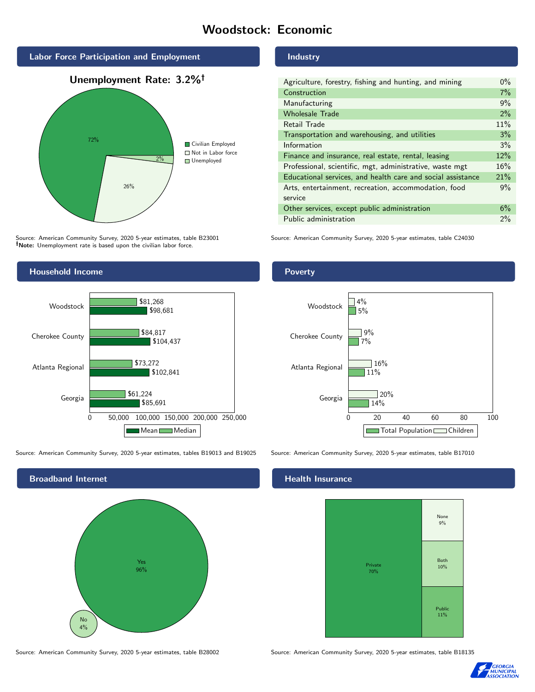# Woodstock: Economic



Source: American Community Survey, 2020 5-year estimates, table B23001 Note: Unemployment rate is based upon the civilian labor force.



Source: American Community Survey, 2020 5-year estimates, tables B19013 and B19025 Source: American Community Survey, 2020 5-year estimates, table B17010



Source: American Community Survey, 2020 5-year estimates, table B28002 Source: American Community Survey, 2020 5-year estimates, table B18135

#### Industry

| Agriculture, forestry, fishing and hunting, and mining      | $0\%$ |
|-------------------------------------------------------------|-------|
| Construction                                                | 7%    |
| Manufacturing                                               | 9%    |
| <b>Wholesale Trade</b>                                      | 2%    |
| Retail Trade                                                | 11%   |
| Transportation and warehousing, and utilities               | 3%    |
| Information                                                 | 3%    |
| Finance and insurance, real estate, rental, leasing         | 12%   |
| Professional, scientific, mgt, administrative, waste mgt    | 16%   |
| Educational services, and health care and social assistance | 21%   |
| Arts, entertainment, recreation, accommodation, food        | 9%    |
| service                                                     |       |
| Other services, except public administration                | 6%    |
| Public administration                                       | 2%    |

Source: American Community Survey, 2020 5-year estimates, table C24030





## **Health Insurance**